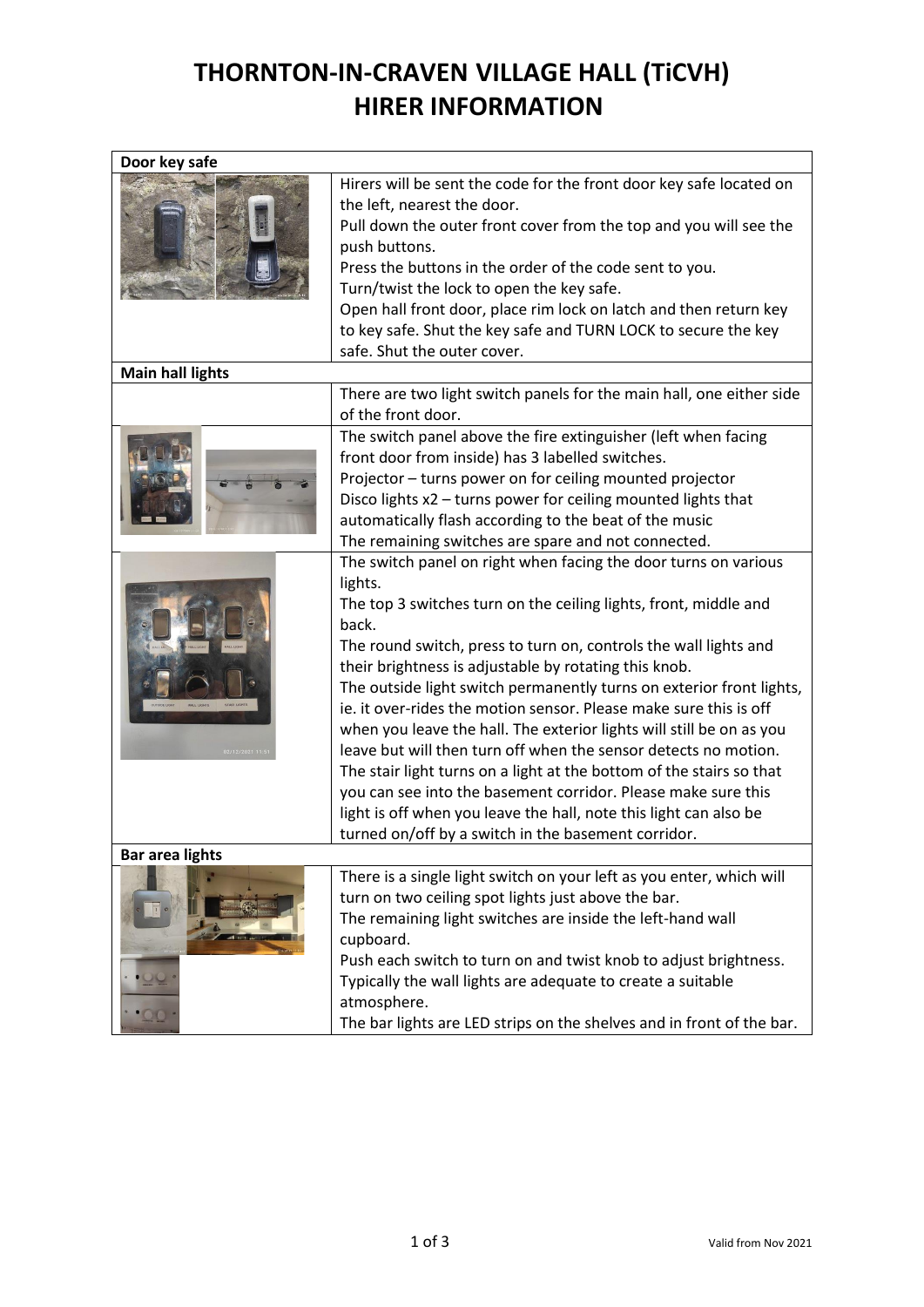## **THORNTON-IN-CRAVEN VILLAGE HALL (TiCVH) HIRER INFORMATION**

| Door key safe           |                                                                                                                                                                                                                                                                                                                                                                                                                                                                                                                                                                                                                                                                                                                                                                                                                                                   |
|-------------------------|---------------------------------------------------------------------------------------------------------------------------------------------------------------------------------------------------------------------------------------------------------------------------------------------------------------------------------------------------------------------------------------------------------------------------------------------------------------------------------------------------------------------------------------------------------------------------------------------------------------------------------------------------------------------------------------------------------------------------------------------------------------------------------------------------------------------------------------------------|
|                         | Hirers will be sent the code for the front door key safe located on<br>the left, nearest the door.<br>Pull down the outer front cover from the top and you will see the<br>push buttons.<br>Press the buttons in the order of the code sent to you.<br>Turn/twist the lock to open the key safe.<br>Open hall front door, place rim lock on latch and then return key<br>to key safe. Shut the key safe and TURN LOCK to secure the key<br>safe. Shut the outer cover.                                                                                                                                                                                                                                                                                                                                                                            |
| <b>Main hall lights</b> |                                                                                                                                                                                                                                                                                                                                                                                                                                                                                                                                                                                                                                                                                                                                                                                                                                                   |
|                         | There are two light switch panels for the main hall, one either side<br>of the front door.                                                                                                                                                                                                                                                                                                                                                                                                                                                                                                                                                                                                                                                                                                                                                        |
|                         | The switch panel above the fire extinguisher (left when facing<br>front door from inside) has 3 labelled switches.<br>Projector - turns power on for ceiling mounted projector<br>Disco lights x2 - turns power for ceiling mounted lights that<br>automatically flash according to the beat of the music<br>The remaining switches are spare and not connected.                                                                                                                                                                                                                                                                                                                                                                                                                                                                                  |
| 02/12/2021 11:          | The switch panel on right when facing the door turns on various<br>lights.<br>The top 3 switches turn on the ceiling lights, front, middle and<br>back.<br>The round switch, press to turn on, controls the wall lights and<br>their brightness is adjustable by rotating this knob.<br>The outside light switch permanently turns on exterior front lights,<br>ie. it over-rides the motion sensor. Please make sure this is off<br>when you leave the hall. The exterior lights will still be on as you<br>leave but will then turn off when the sensor detects no motion.<br>The stair light turns on a light at the bottom of the stairs so that<br>you can see into the basement corridor. Please make sure this<br>light is off when you leave the hall, note this light can also be<br>turned on/off by a switch in the basement corridor. |
| <b>Bar area lights</b>  |                                                                                                                                                                                                                                                                                                                                                                                                                                                                                                                                                                                                                                                                                                                                                                                                                                                   |
|                         | There is a single light switch on your left as you enter, which will<br>turn on two ceiling spot lights just above the bar.<br>The remaining light switches are inside the left-hand wall<br>cupboard.<br>Push each switch to turn on and twist knob to adjust brightness.<br>Typically the wall lights are adequate to create a suitable<br>atmosphere.<br>The bar lights are LED strips on the shelves and in front of the bar.                                                                                                                                                                                                                                                                                                                                                                                                                 |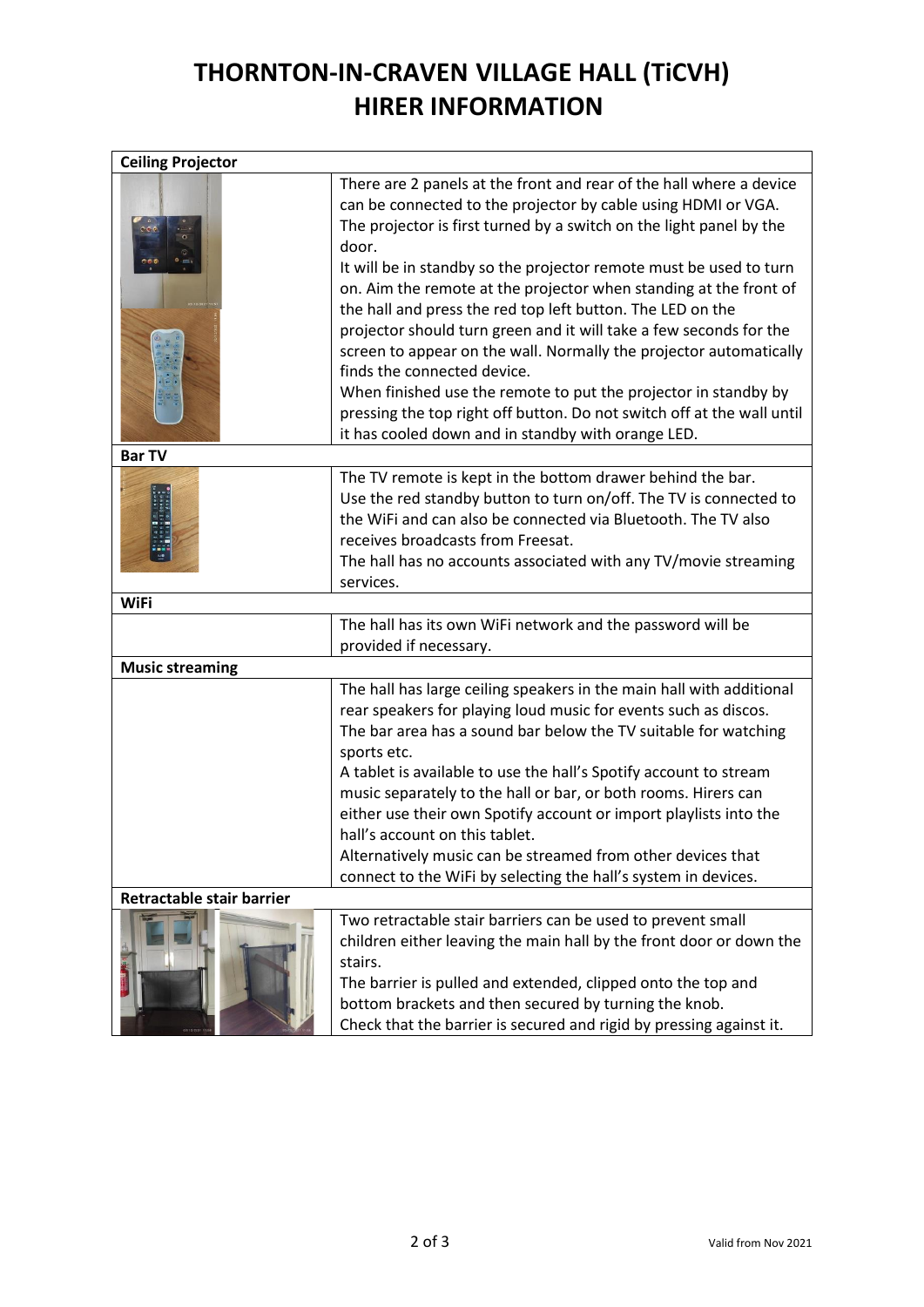## **THORNTON-IN-CRAVEN VILLAGE HALL (TiCVH) HIRER INFORMATION**

| <b>Ceiling Projector</b>  |                                                                                                                                                                                                                                                                                                                                                                                                                                                                                                                                                                                                                                                                                                                                                                                                             |  |
|---------------------------|-------------------------------------------------------------------------------------------------------------------------------------------------------------------------------------------------------------------------------------------------------------------------------------------------------------------------------------------------------------------------------------------------------------------------------------------------------------------------------------------------------------------------------------------------------------------------------------------------------------------------------------------------------------------------------------------------------------------------------------------------------------------------------------------------------------|--|
|                           | There are 2 panels at the front and rear of the hall where a device<br>can be connected to the projector by cable using HDMI or VGA.<br>The projector is first turned by a switch on the light panel by the<br>door.<br>It will be in standby so the projector remote must be used to turn<br>on. Aim the remote at the projector when standing at the front of<br>the hall and press the red top left button. The LED on the<br>projector should turn green and it will take a few seconds for the<br>screen to appear on the wall. Normally the projector automatically<br>finds the connected device.<br>When finished use the remote to put the projector in standby by<br>pressing the top right off button. Do not switch off at the wall until<br>it has cooled down and in standby with orange LED. |  |
| <b>Bar TV</b>             |                                                                                                                                                                                                                                                                                                                                                                                                                                                                                                                                                                                                                                                                                                                                                                                                             |  |
|                           | The TV remote is kept in the bottom drawer behind the bar.<br>Use the red standby button to turn on/off. The TV is connected to<br>the WiFi and can also be connected via Bluetooth. The TV also<br>receives broadcasts from Freesat.<br>The hall has no accounts associated with any TV/movie streaming<br>services.                                                                                                                                                                                                                                                                                                                                                                                                                                                                                       |  |
| <b>WiFi</b>               |                                                                                                                                                                                                                                                                                                                                                                                                                                                                                                                                                                                                                                                                                                                                                                                                             |  |
|                           | The hall has its own WiFi network and the password will be<br>provided if necessary.                                                                                                                                                                                                                                                                                                                                                                                                                                                                                                                                                                                                                                                                                                                        |  |
| <b>Music streaming</b>    |                                                                                                                                                                                                                                                                                                                                                                                                                                                                                                                                                                                                                                                                                                                                                                                                             |  |
|                           | The hall has large ceiling speakers in the main hall with additional<br>rear speakers for playing loud music for events such as discos.<br>The bar area has a sound bar below the TV suitable for watching<br>sports etc.<br>A tablet is available to use the hall's Spotify account to stream<br>music separately to the hall or bar, or both rooms. Hirers can<br>either use their own Spotify account or import playlists into the                                                                                                                                                                                                                                                                                                                                                                       |  |
|                           | hall's account on this tablet.<br>Alternatively music can be streamed from other devices that                                                                                                                                                                                                                                                                                                                                                                                                                                                                                                                                                                                                                                                                                                               |  |
|                           | connect to the WiFi by selecting the hall's system in devices.                                                                                                                                                                                                                                                                                                                                                                                                                                                                                                                                                                                                                                                                                                                                              |  |
| Retractable stair barrier |                                                                                                                                                                                                                                                                                                                                                                                                                                                                                                                                                                                                                                                                                                                                                                                                             |  |
|                           | Two retractable stair barriers can be used to prevent small<br>children either leaving the main hall by the front door or down the<br>stairs.<br>The barrier is pulled and extended, clipped onto the top and<br>bottom brackets and then secured by turning the knob.<br>Check that the barrier is secured and rigid by pressing against it.                                                                                                                                                                                                                                                                                                                                                                                                                                                               |  |